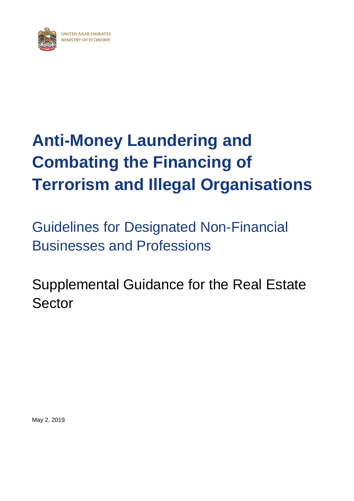<span id="page-0-0"></span>

# **[Anti-Money Laundering](#page-0-0) and [Combating the Financing of](#page-0-0)  [Terrorism and](#page-0-0) Illegal Organisations**

[Guidelines for Designated](#page-0-0) Non-Financial [Businesses and Professions](#page-0-0)

Supplemental Guidance for the Real Estate Sector

May 2, 2019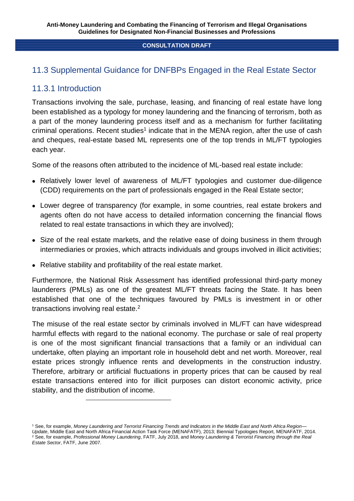# 11.3 Supplemental Guidance for DNFBPs Engaged in the Real Estate Sector

# 11.3.1 Introduction

Transactions involving the sale, purchase, leasing, and financing of real estate have long been established as a typology for money laundering and the financing of terrorism, both as a part of the money laundering process itself and as a mechanism for further facilitating criminal operations. Recent studies<sup>1</sup> indicate that in the MENA region, after the use of cash and cheques, real-estate based ML represents one of the top trends in ML/FT typologies each year.

Some of the reasons often attributed to the incidence of ML-based real estate include:

- Relatively lower level of awareness of ML/FT typologies and customer due-diligence (CDD) requirements on the part of professionals engaged in the Real Estate sector;
- Lower degree of transparency (for example, in some countries, real estate brokers and agents often do not have access to detailed information concerning the financial flows related to real estate transactions in which they are involved);
- Size of the real estate markets, and the relative ease of doing business in them through intermediaries or proxies, which attracts individuals and groups involved in illicit activities;
- Relative stability and profitability of the real estate market.

-

Furthermore, the National Risk Assessment has identified professional third-party money launderers (PMLs) as one of the greatest ML/FT threats facing the State. It has been established that one of the techniques favoured by PMLs is investment in or other transactions involving real estate.<sup>2</sup>

The misuse of the real estate sector by criminals involved in ML/FT can have widespread harmful effects with regard to the national economy. The purchase or sale of real property is one of the most significant financial transactions that a family or an individual can undertake, often playing an important role in household debt and net worth. Moreover, real estate prices strongly influence rents and developments in the construction industry. Therefore, arbitrary or artificial fluctuations in property prices that can be caused by real estate transactions entered into for illicit purposes can distort economic activity, price stability, and the distribution of income.

<sup>1</sup> See, for example, *Money Laundering and Terrorist Financing Trends and Indicators in the Middle East and North Africa Region—*

*Update*, Middle East and North Africa Financial Action Task Force (MENAFATF), 2013; Biennial Typologies Report, MENAFATF, 2014. <sup>2</sup> See, for example, *Professional Money Laundering*, FATF, July 2018, and *Money Laundering & Terrorist Financing through the Real Estate Sector*, FATF, June 2007.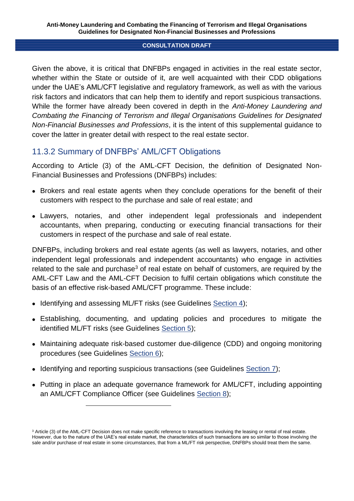Given the above, it is critical that DNFBPs engaged in activities in the real estate sector, whether within the State or outside of it, are well acquainted with their CDD obligations under the UAE's AML/CFT legislative and regulatory framework, as well as with the various risk factors and indicators that can help them to identify and report suspicious transactions. While the former have already been covered in depth in the *Anti-Money Laundering and Combating the Financing of Terrorism and Illegal Organisations Guidelines for Designated Non-Financial Businesses and Professions*, it is the intent of this supplemental guidance to cover the latter in greater detail with respect to the real estate sector.

# 11.3.2 Summary of DNFBPs' AML/CFT Obligations

According to Article (3) of the AML-CFT Decision, the definition of Designated Non-Financial Businesses and Professions (DNFBPs) includes:

- Brokers and real estate agents when they conclude operations for the benefit of their customers with respect to the purchase and sale of real estate; and
- Lawyers, notaries, and other independent legal professionals and independent accountants, when preparing, conducting or executing financial transactions for their customers in respect of the purchase and sale of real estate.

DNFBPs, including brokers and real estate agents (as well as lawyers, notaries, and other independent legal professionals and independent accountants) who engage in activities related to the sale and purchase<sup>3</sup> of real estate on behalf of customers, are required by the AML-CFT Law and the AML-CFT Decision to fulfil certain obligations which constitute the basis of an effective risk-based AML/CFT programme. These include:

• Identifying and assessing ML/FT risks (see Guidelines Section 4):

- Establishing, documenting, and updating policies and procedures to mitigate the identified ML/FT risks (see Guidelines Section 5);
- Maintaining adequate risk-based customer due-diligence (CDD) and ongoing monitoring procedures (see Guidelines Section 6);
- Identifying and reporting suspicious transactions (see Guidelines Section 7):
- Putting in place an adequate governance framework for AML/CFT, including appointing an AML/CFT Compliance Officer (see Guidelines Section 8);

<sup>&</sup>lt;sup>3</sup> Article (3) of the AML-CFT Decision does not make specific reference to transactions involving the leasing or rental of real estate. However, due to the nature of the UAE's real estate market, the characteristics of such transactions are so similar to those involving the sale and/or purchase of real estate in some circumstances, that from a ML/FT risk perspective, DNFBPs should treat them the same.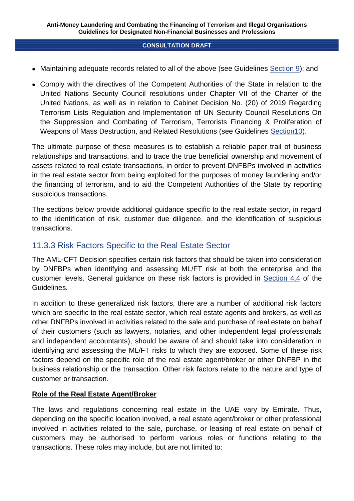- Maintaining adequate records related to all of the above (see Guidelines Section 9); and
- Comply with the directives of the Competent Authorities of the State in relation to the United Nations Security Council resolutions under Chapter VII of the Charter of the United Nations, as well as in relation to Cabinet Decision No. (20) of 2019 Regarding Terrorism Lists Regulation and Implementation of UN Security Council Resolutions On the Suppression and Combating of Terrorism, Terrorists Financing & Proliferation of Weapons of Mass Destruction, and Related Resolutions (see Guidelines Section10).

The ultimate purpose of these measures is to establish a reliable paper trail of business relationships and transactions, and to trace the true beneficial ownership and movement of assets related to real estate transactions, in order to prevent DNFBPs involved in activities in the real estate sector from being exploited for the purposes of money laundering and/or the financing of terrorism, and to aid the Competent Authorities of the State by reporting suspicious transactions.

The sections below provide additional guidance specific to the real estate sector, in regard to the identification of risk, customer due diligence, and the identification of suspicious transactions.

# 11.3.3 Risk Factors Specific to the Real Estate Sector

The AML-CFT Decision specifies certain risk factors that should be taken into consideration by DNFBPs when identifying and assessing ML/FT risk at both the enterprise and the customer levels. General guidance on these risk factors is provided in Section 4.4 of the Guidelines.

In addition to these generalized risk factors, there are a number of additional risk factors which are specific to the real estate sector, which real estate agents and brokers, as well as other DNFBPs involved in activities related to the sale and purchase of real estate on behalf of their customers (such as lawyers, notaries, and other independent legal professionals and independent accountants), should be aware of and should take into consideration in identifying and assessing the ML/FT risks to which they are exposed. Some of these risk factors depend on the specific role of the real estate agent/broker or other DNFBP in the business relationship or the transaction. Other risk factors relate to the nature and type of customer or transaction.

# **Role of the Real Estate Agent/Broker**

The laws and regulations concerning real estate in the UAE vary by Emirate. Thus, depending on the specific location involved, a real estate agent/broker or other professional involved in activities related to the sale, purchase, or leasing of real estate on behalf of customers may be authorised to perform various roles or functions relating to the transactions. These roles may include, but are not limited to: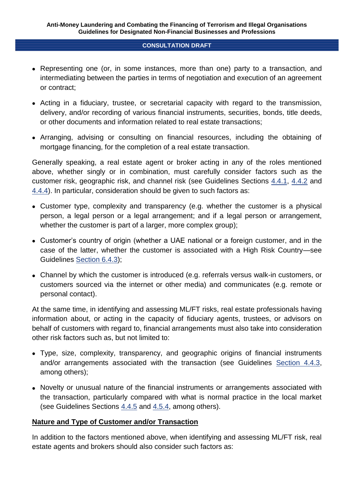- Representing one (or, in some instances, more than one) party to a transaction, and intermediating between the parties in terms of negotiation and execution of an agreement or contract;
- Acting in a fiduciary, trustee, or secretarial capacity with regard to the transmission, delivery, and/or recording of various financial instruments, securities, bonds, title deeds, or other documents and information related to real estate transactions;
- Arranging, advising or consulting on financial resources, including the obtaining of mortgage financing, for the completion of a real estate transaction.

Generally speaking, a real estate agent or broker acting in any of the roles mentioned above, whether singly or in combination, must carefully consider factors such as the customer risk, geographic risk, and channel risk (see Guidelines Sections 4.4.1, 4.4.2 and 4.4.4). In particular, consideration should be given to such factors as:

- Customer type, complexity and transparency (e.g. whether the customer is a physical person, a legal person or a legal arrangement; and if a legal person or arrangement, whether the customer is part of a larger, more complex group);
- Customer's country of origin (whether a UAE national or a foreign customer, and in the case of the latter, whether the customer is associated with a High Risk Country—see Guidelines Section 6.4.3);
- Channel by which the customer is introduced (e.g. referrals versus walk-in customers, or customers sourced via the internet or other media) and communicates (e.g. remote or personal contact).

At the same time, in identifying and assessing ML/FT risks, real estate professionals having information about, or acting in the capacity of fiduciary agents, trustees, or advisors on behalf of customers with regard to, financial arrangements must also take into consideration other risk factors such as, but not limited to:

- Type, size, complexity, transparency, and geographic origins of financial instruments and/or arrangements associated with the transaction (see Guidelines Section 4.4.3, among others);
- Novelty or unusual nature of the financial instruments or arrangements associated with the transaction, particularly compared with what is normal practice in the local market (see Guidelines Sections 4.4.5 and 4.5.4, among others).

## **Nature and Type of Customer and/or Transaction**

In addition to the factors mentioned above, when identifying and assessing ML/FT risk, real estate agents and brokers should also consider such factors as: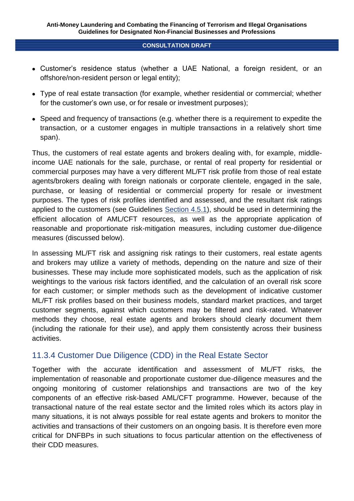- Customer's residence status (whether a UAE National, a foreign resident, or an offshore/non-resident person or legal entity);
- Type of real estate transaction (for example, whether residential or commercial; whether for the customer's own use, or for resale or investment purposes);
- Speed and frequency of transactions (e.g. whether there is a requirement to expedite the transaction, or a customer engages in multiple transactions in a relatively short time span).

Thus, the customers of real estate agents and brokers dealing with, for example, middleincome UAE nationals for the sale, purchase, or rental of real property for residential or commercial purposes may have a very different ML/FT risk profile from those of real estate agents/brokers dealing with foreign nationals or corporate clientele, engaged in the sale, purchase, or leasing of residential or commercial property for resale or investment purposes. The types of risk profiles identified and assessed, and the resultant risk ratings applied to the customers (see Guidelines Section 4.5.1), should be used in determining the efficient allocation of AML/CFT resources, as well as the appropriate application of reasonable and proportionate risk-mitigation measures, including customer due-diligence measures (discussed below).

In assessing ML/FT risk and assigning risk ratings to their customers, real estate agents and brokers may utilize a variety of methods, depending on the nature and size of their businesses. These may include more sophisticated models, such as the application of risk weightings to the various risk factors identified, and the calculation of an overall risk score for each customer; or simpler methods such as the development of indicative customer ML/FT risk profiles based on their business models, standard market practices, and target customer segments, against which customers may be filtered and risk-rated. Whatever methods they choose, real estate agents and brokers should clearly document them (including the rationale for their use), and apply them consistently across their business activities.

# 11.3.4 Customer Due Diligence (CDD) in the Real Estate Sector

Together with the accurate identification and assessment of ML/FT risks, the implementation of reasonable and proportionate customer due-diligence measures and the ongoing monitoring of customer relationships and transactions are two of the key components of an effective risk-based AML/CFT programme. However, because of the transactional nature of the real estate sector and the limited roles which its actors play in many situations, it is not always possible for real estate agents and brokers to monitor the activities and transactions of their customers on an ongoing basis. It is therefore even more critical for DNFBPs in such situations to focus particular attention on the effectiveness of their CDD measures.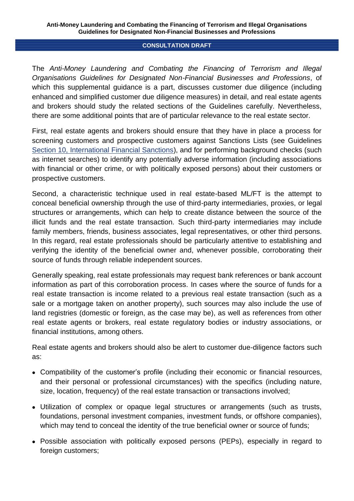The *Anti-Money Laundering and Combating the Financing of Terrorism and Illegal Organisations Guidelines for Designated Non-Financial Businesses and Professions*, of which this supplemental guidance is a part, discusses customer due diligence (including enhanced and simplified customer due diligence measures) in detail, and real estate agents and brokers should study the related sections of the Guidelines carefully. Nevertheless, there are some additional points that are of particular relevance to the real estate sector.

First, real estate agents and brokers should ensure that they have in place a process for screening customers and prospective customers against Sanctions Lists (see Guidelines Section 10, International Financial Sanctions), and for performing background checks (such as internet searches) to identify any potentially adverse information (including associations with financial or other crime, or with politically exposed persons) about their customers or prospective customers.

Second, a characteristic technique used in real estate-based ML/FT is the attempt to conceal beneficial ownership through the use of third-party intermediaries, proxies, or legal structures or arrangements, which can help to create distance between the source of the illicit funds and the real estate transaction. Such third-party intermediaries may include family members, friends, business associates, legal representatives, or other third persons. In this regard, real estate professionals should be particularly attentive to establishing and verifying the identity of the beneficial owner and, whenever possible, corroborating their source of funds through reliable independent sources.

Generally speaking, real estate professionals may request bank references or bank account information as part of this corroboration process. In cases where the source of funds for a real estate transaction is income related to a previous real estate transaction (such as a sale or a mortgage taken on another property), such sources may also include the use of land registries (domestic or foreign, as the case may be), as well as references from other real estate agents or brokers, real estate regulatory bodies or industry associations, or financial institutions, among others.

Real estate agents and brokers should also be alert to customer due-diligence factors such as:

- Compatibility of the customer's profile (including their economic or financial resources, and their personal or professional circumstances) with the specifics (including nature, size, location, frequency) of the real estate transaction or transactions involved;
- Utilization of complex or opaque legal structures or arrangements (such as trusts, foundations, personal investment companies, investment funds, or offshore companies), which may tend to conceal the identity of the true beneficial owner or source of funds;
- Possible association with politically exposed persons (PEPs), especially in regard to foreign customers: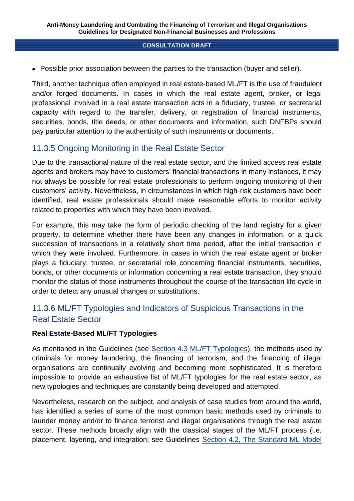Possible prior association between the parties to the transaction (buyer and seller).

Third, another technique often employed in real estate-based ML/FT is the use of fraudulent and/or forged documents. In cases in which the real estate agent, broker, or legal professional involved in a real estate transaction acts in a fiduciary, trustee, or secretarial capacity with regard to the transfer, delivery, or registration of financial instruments, securities, bonds, title deeds, or other documents and information, such DNFBPs should pay particular attention to the authenticity of such instruments or documents.

# 11.3.5 Ongoing Monitoring in the Real Estate Sector

Due to the transactional nature of the real estate sector, and the limited access real estate agents and brokers may have to customers' financial transactions in many instances, it may not always be possible for real estate professionals to perform ongoing monitoring of their customers' activity. Nevertheless, in circumstances in which high-risk customers have been identified, real estate professionals should make reasonable efforts to monitor activity related to properties with which they have been involved.

For example, this may take the form of periodic checking of the land registry for a given property, to determine whether there have been any changes in information, or a quick succession of transactions in a relatively short time period, after the initial transaction in which they were involved. Furthermore, in cases in which the real estate agent or broker plays a fiduciary, trustee, or secretarial role concerning financial instruments, securities, bonds, or other documents or information concerning a real estate transaction, they should monitor the status of those instruments throughout the course of the transaction life cycle in order to detect any unusual changes or substitutions.

# 11.3.6 ML/FT Typologies and Indicators of Suspicious Transactions in the Real Estate Sector

# **Real Estate-Based ML/FT Typologies**

As mentioned in the Guidelines (see Section 4.3 ML/FT Typologies), the methods used by criminals for money laundering, the financing of terrorism, and the financing of illegal organisations are continually evolving and becoming more sophisticated. It is therefore impossible to provide an exhaustive list of ML/FT typologies for the real estate sector, as new typologies and techniques are constantly being developed and attempted.

Nevertheless, research on the subject, and analysis of case studies from around the world, has identified a series of some of the most common basic methods used by criminals to launder money and/or to finance terrorist and illegal organisations through the real estate sector. These methods broadly align with the classical stages of the ML/FT process (i.e. placement, layering, and integration; see Guidelines Section 4.2, The Standard ML Model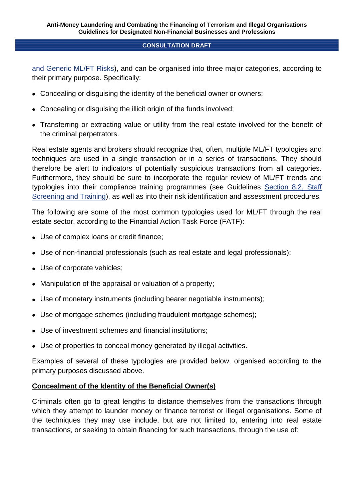and Generic ML/FT Risks), and can be organised into three major categories, according to their primary purpose. Specifically:

- Concealing or disguising the identity of the beneficial owner or owners;
- Concealing or disguising the illicit origin of the funds involved;
- Transferring or extracting value or utility from the real estate involved for the benefit of the criminal perpetrators.

Real estate agents and brokers should recognize that, often, multiple ML/FT typologies and techniques are used in a single transaction or in a series of transactions. They should therefore be alert to indicators of potentially suspicious transactions from all categories. Furthermore, they should be sure to incorporate the regular review of ML/FT trends and typologies into their compliance training programmes (see Guidelines Section 8.2, Staff Screening and Training), as well as into their risk identification and assessment procedures.

The following are some of the most common typologies used for ML/FT through the real estate sector, according to the Financial Action Task Force (FATF):

- Use of complex loans or credit finance;
- Use of non-financial professionals (such as real estate and legal professionals);
- Use of corporate vehicles;
- Manipulation of the appraisal or valuation of a property;
- Use of monetary instruments (including bearer negotiable instruments);
- Use of mortgage schemes (including fraudulent mortgage schemes);
- Use of investment schemes and financial institutions;
- Use of properties to conceal money generated by illegal activities.

Examples of several of these typologies are provided below, organised according to the primary purposes discussed above.

# **Concealment of the Identity of the Beneficial Owner(s)**

Criminals often go to great lengths to distance themselves from the transactions through which they attempt to launder money or finance terrorist or illegal organisations. Some of the techniques they may use include, but are not limited to, entering into real estate transactions, or seeking to obtain financing for such transactions, through the use of: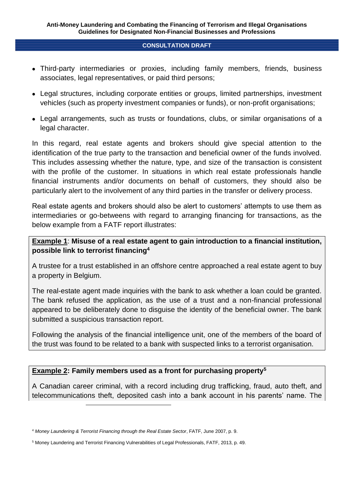- Third-party intermediaries or proxies, including family members, friends, business associates, legal representatives, or paid third persons;
- Legal structures, including corporate entities or groups, limited partnerships, investment vehicles (such as property investment companies or funds), or non-profit organisations;
- Legal arrangements, such as trusts or foundations, clubs, or similar organisations of a legal character.

In this regard, real estate agents and brokers should give special attention to the identification of the true party to the transaction and beneficial owner of the funds involved. This includes assessing whether the nature, type, and size of the transaction is consistent with the profile of the customer. In situations in which real estate professionals handle financial instruments and/or documents on behalf of customers, they should also be particularly alert to the involvement of any third parties in the transfer or delivery process.

Real estate agents and brokers should also be alert to customers' attempts to use them as intermediaries or go-betweens with regard to arranging financing for transactions, as the below example from a FATF report illustrates:

**Example 1**: **Misuse of a real estate agent to gain introduction to a financial institution, possible link to terrorist financing<sup>4</sup>**

A trustee for a trust established in an offshore centre approached a real estate agent to buy a property in Belgium.

The real-estate agent made inquiries with the bank to ask whether a loan could be granted. The bank refused the application, as the use of a trust and a non-financial professional appeared to be deliberately done to disguise the identity of the beneficial owner. The bank submitted a suspicious transaction report.

Following the analysis of the financial intelligence unit, one of the members of the board of the trust was found to be related to a bank with suspected links to a terrorist organisation.

# **Example 2: Family members used as a front for purchasing property<sup>5</sup>**

A Canadian career criminal, with a record including drug trafficking, fraud, auto theft, and telecommunications theft, deposited cash into a bank account in his parents' name. The

<sup>4</sup> *Money Laundering & Terrorist Financing through the Real Estate Sector*, FATF, June 2007, p. 9.

<sup>5</sup> Money Laundering and Terrorist Financing Vulnerabilities of Legal Professionals, FATF, 2013, p. 49.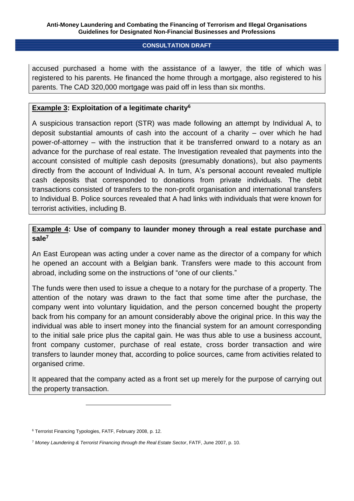accused purchased a home with the assistance of a lawyer, the title of which was registered to his parents. He financed the home through a mortgage, also registered to his parents. The CAD 320,000 mortgage was paid off in less than six months.

## **Example 3: Exploitation of a legitimate charity<sup>6</sup>**

A suspicious transaction report (STR) was made following an attempt by Individual A, to deposit substantial amounts of cash into the account of a charity – over which he had power-of-attorney – with the instruction that it be transferred onward to a notary as an advance for the purchase of real estate. The Investigation revealed that payments into the account consisted of multiple cash deposits (presumably donations), but also payments directly from the account of Individual A. In turn, A's personal account revealed multiple cash deposits that corresponded to donations from private individuals. The debit transactions consisted of transfers to the non-profit organisation and international transfers to Individual B. Police sources revealed that A had links with individuals that were known for terrorist activities, including B.

# **Example 4: Use of company to launder money through a real estate purchase and sale<sup>7</sup>**

An East European was acting under a cover name as the director of a company for which he opened an account with a Belgian bank. Transfers were made to this account from abroad, including some on the instructions of "one of our clients."

The funds were then used to issue a cheque to a notary for the purchase of a property. The attention of the notary was drawn to the fact that some time after the purchase, the company went into voluntary liquidation, and the person concerned bought the property back from his company for an amount considerably above the original price. In this way the individual was able to insert money into the financial system for an amount corresponding to the initial sale price plus the capital gain. He was thus able to use a business account, front company customer, purchase of real estate, cross border transaction and wire transfers to launder money that, according to police sources, came from activities related to organised crime.

It appeared that the company acted as a front set up merely for the purpose of carrying out the property transaction.

<sup>6</sup> Terrorist Financing Typologies, FATF, February 2008, p. 12.

<sup>7</sup> *Money Laundering & Terrorist Financing through the Real Estate Sector*, FATF, June 2007, p. 10.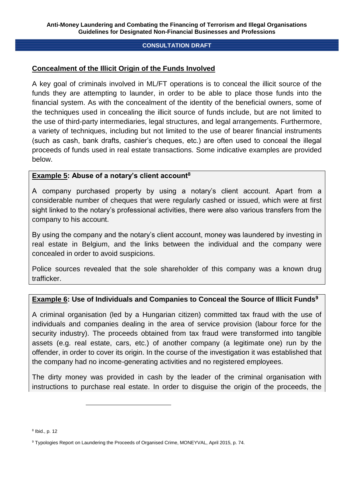#### **Concealment of the Illicit Origin of the Funds Involved**

A key goal of criminals involved in ML/FT operations is to conceal the illicit source of the funds they are attempting to launder, in order to be able to place those funds into the financial system. As with the concealment of the identity of the beneficial owners, some of the techniques used in concealing the illicit source of funds include, but are not limited to the use of third-party intermediaries, legal structures, and legal arrangements. Furthermore, a variety of techniques, including but not limited to the use of bearer financial instruments (such as cash, bank drafts, cashier's cheques, etc.) are often used to conceal the illegal proceeds of funds used in real estate transactions. Some indicative examples are provided below.

#### **Example 5: Abuse of a notary's client account<sup>8</sup>**

A company purchased property by using a notary's client account. Apart from a considerable number of cheques that were regularly cashed or issued, which were at first sight linked to the notary's professional activities, there were also various transfers from the company to his account.

By using the company and the notary's client account, money was laundered by investing in real estate in Belgium, and the links between the individual and the company were concealed in order to avoid suspicions.

Police sources revealed that the sole shareholder of this company was a known drug trafficker.

## **Example 6: Use of Individuals and Companies to Conceal the Source of Illicit Funds<sup>9</sup>**

A criminal organisation (led by a Hungarian citizen) committed tax fraud with the use of individuals and companies dealing in the area of service provision (labour force for the security industry). The proceeds obtained from tax fraud were transformed into tangible assets (e.g. real estate, cars, etc.) of another company (a legitimate one) run by the offender, in order to cover its origin. In the course of the investigation it was established that the company had no income-generating activities and no registered employees.

The dirty money was provided in cash by the leader of the criminal organisation with instructions to purchase real estate. In order to disguise the origin of the proceeds, the

<sup>8</sup> Ibid., p. 12

<sup>9</sup> Typologies Report on Laundering the Proceeds of Organised Crime, MONEYVAL, April 2015, p. 74.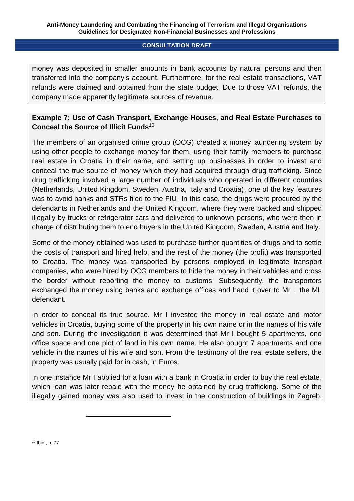money was deposited in smaller amounts in bank accounts by natural persons and then transferred into the company's account. Furthermore, for the real estate transactions, VAT refunds were claimed and obtained from the state budget. Due to those VAT refunds, the company made apparently legitimate sources of revenue.

# **Example 7: Use of Cash Transport, Exchange Houses, and Real Estate Purchases to Conceal the Source of Illicit Funds**<sup>10</sup>

The members of an organised crime group (OCG) created a money laundering system by using other people to exchange money for them, using their family members to purchase real estate in Croatia in their name, and setting up businesses in order to invest and conceal the true source of money which they had acquired through drug trafficking. Since drug trafficking involved a large number of individuals who operated in different countries (Netherlands, United Kingdom, Sweden, Austria, Italy and Croatia), one of the key features was to avoid banks and STRs filed to the FIU. In this case, the drugs were procured by the defendants in Netherlands and the United Kingdom, where they were packed and shipped illegally by trucks or refrigerator cars and delivered to unknown persons, who were then in charge of distributing them to end buyers in the United Kingdom, Sweden, Austria and Italy.

Some of the money obtained was used to purchase further quantities of drugs and to settle the costs of transport and hired help, and the rest of the money (the profit) was transported to Croatia. The money was transported by persons employed in legitimate transport companies, who were hired by OCG members to hide the money in their vehicles and cross the border without reporting the money to customs. Subsequently, the transporters exchanged the money using banks and exchange offices and hand it over to Mr I, the ML defendant.

In order to conceal its true source, Mr I invested the money in real estate and motor vehicles in Croatia, buying some of the property in his own name or in the names of his wife and son. During the investigation it was determined that Mr I bought 5 apartments, one office space and one plot of land in his own name. He also bought 7 apartments and one vehicle in the names of his wife and son. From the testimony of the real estate sellers, the property was usually paid for in cash, in Euros.

In one instance Mr I applied for a loan with a bank in Croatia in order to buy the real estate, which loan was later repaid with the money he obtained by drug trafficking. Some of the illegally gained money was also used to invest in the construction of buildings in Zagreb.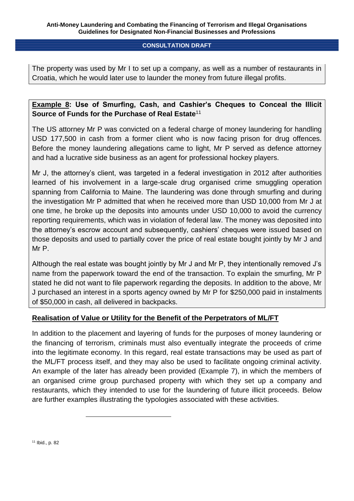The property was used by Mr I to set up a company, as well as a number of restaurants in Croatia, which he would later use to launder the money from future illegal profits.

# **Example 8: Use of Smurfing, Cash, and Cashier's Cheques to Conceal the Illicit Source of Funds for the Purchase of Real Estate**<sup>11</sup>

The US attorney Mr P was convicted on a federal charge of money laundering for handling USD 177,500 in cash from a former client who is now facing prison for drug offences. Before the money laundering allegations came to light, Mr P served as defence attorney and had a lucrative side business as an agent for professional hockey players.

Mr J, the attorney's client, was targeted in a federal investigation in 2012 after authorities learned of his involvement in a large-scale drug organised crime smuggling operation spanning from California to Maine. The laundering was done through smurfing and during the investigation Mr P admitted that when he received more than USD 10,000 from Mr J at one time, he broke up the deposits into amounts under USD 10,000 to avoid the currency reporting requirements, which was in violation of federal law. The money was deposited into the attorney's escrow account and subsequently, cashiers' cheques were issued based on those deposits and used to partially cover the price of real estate bought jointly by Mr J and Mr P.

Although the real estate was bought jointly by Mr J and Mr P, they intentionally removed J's name from the paperwork toward the end of the transaction. To explain the smurfing, Mr P stated he did not want to file paperwork regarding the deposits. In addition to the above, Mr J purchased an interest in a sports agency owned by Mr P for \$250,000 paid in instalments of \$50,000 in cash, all delivered in backpacks.

# **Realisation of Value or Utility for the Benefit of the Perpetrators of ML/FT**

In addition to the placement and layering of funds for the purposes of money laundering or the financing of terrorism, criminals must also eventually integrate the proceeds of crime into the legitimate economy. In this regard, real estate transactions may be used as part of the ML/FT process itself, and they may also be used to facilitate ongoing criminal activity. An example of the later has already been provided (Example 7), in which the members of an organised crime group purchased property with which they set up a company and restaurants, which they intended to use for the laundering of future illicit proceeds. Below are further examples illustrating the typologies associated with these activities.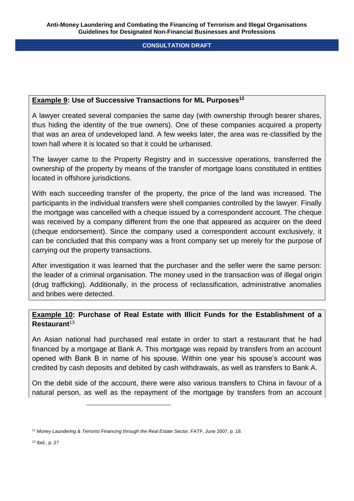#### **Example 9: Use of Successive Transactions for ML Purposes<sup>12</sup>**

A lawyer created several companies the same day (with ownership through bearer shares, thus hiding the identity of the true owners). One of these companies acquired a property that was an area of undeveloped land. A few weeks later, the area was re-classified by the town hall where it is located so that it could be urbanised.

The lawyer came to the Property Registry and in successive operations, transferred the ownership of the property by means of the transfer of mortgage loans constituted in entities located in offshore jurisdictions.

With each succeeding transfer of the property, the price of the land was increased. The participants in the individual transfers were shell companies controlled by the lawyer. Finally the mortgage was cancelled with a cheque issued by a correspondent account. The cheque was received by a company different from the one that appeared as acquirer on the deed (cheque endorsement). Since the company used a correspondent account exclusively, it can be concluded that this company was a front company set up merely for the purpose of carrying out the property transactions.

After investigation it was learned that the purchaser and the seller were the same person: the leader of a criminal organisation. The money used in the transaction was of illegal origin (drug trafficking). Additionally, in the process of reclassification, administrative anomalies and bribes were detected.

# **Example 10: Purchase of Real Estate with Illicit Funds for the Establishment of a Restaurant**<sup>13</sup>

An Asian national had purchased real estate in order to start a restaurant that he had financed by a mortgage at Bank A. This mortgage was repaid by transfers from an account opened with Bank B in name of his spouse. Within one year his spouse's account was credited by cash deposits and debited by cash withdrawals, as well as transfers to Bank A.

On the debit side of the account, there were also various transfers to China in favour of a natural person, as well as the repayment of the mortgage by transfers from an account

<sup>13</sup> Ibid., p. 27

<sup>12</sup> *Money Laundering & Terrorist Financing through the Real Estate Sector*, FATF, June 2007, p. 18.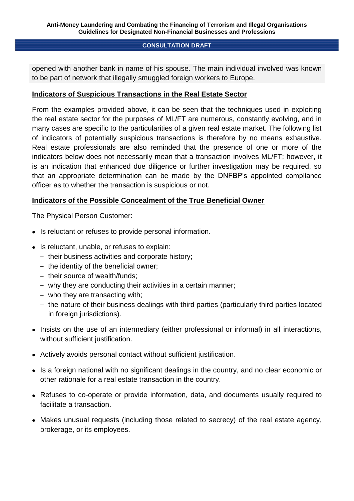opened with another bank in name of his spouse. The main individual involved was known to be part of network that illegally smuggled foreign workers to Europe.

#### **Indicators of Suspicious Transactions in the Real Estate Sector**

From the examples provided above, it can be seen that the techniques used in exploiting the real estate sector for the purposes of ML/FT are numerous, constantly evolving, and in many cases are specific to the particularities of a given real estate market. The following list of indicators of potentially suspicious transactions is therefore by no means exhaustive. Real estate professionals are also reminded that the presence of one or more of the indicators below does not necessarily mean that a transaction involves ML/FT; however, it is an indication that enhanced due diligence or further investigation may be required, so that an appropriate determination can be made by the DNFBP's appointed compliance officer as to whether the transaction is suspicious or not.

## **Indicators of the Possible Concealment of the True Beneficial Owner**

The Physical Person Customer:

- Is reluctant or refuses to provide personal information.
- Is reluctant, unable, or refuses to explain:
	- ‒ their business activities and corporate history;
	- ‒ the identity of the beneficial owner;
	- their source of wealth/funds;
	- ‒ why they are conducting their activities in a certain manner;
	- ‒ who they are transacting with;
	- the nature of their business dealings with third parties (particularly third parties located in foreign jurisdictions).
- Insists on the use of an intermediary (either professional or informal) in all interactions, without sufficient justification.
- Actively avoids personal contact without sufficient justification.
- Is a foreign national with no significant dealings in the country, and no clear economic or other rationale for a real estate transaction in the country.
- Refuses to co-operate or provide information, data, and documents usually required to facilitate a transaction.
- Makes unusual requests (including those related to secrecy) of the real estate agency, brokerage, or its employees.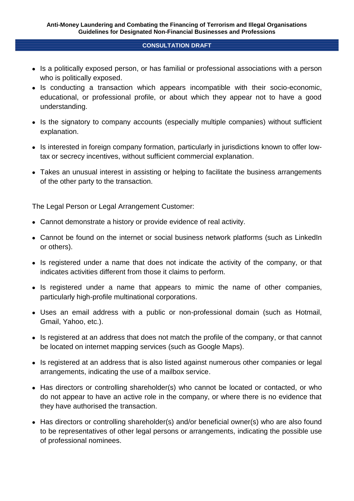- Is a politically exposed person, or has familial or professional associations with a person who is politically exposed.
- Is conducting a transaction which appears incompatible with their socio-economic, educational, or professional profile, or about which they appear not to have a good understanding.
- Is the signatory to company accounts (especially multiple companies) without sufficient explanation.
- Is interested in foreign company formation, particularly in jurisdictions known to offer lowtax or secrecy incentives, without sufficient commercial explanation.
- Takes an unusual interest in assisting or helping to facilitate the business arrangements of the other party to the transaction.

The Legal Person or Legal Arrangement Customer:

- Cannot demonstrate a history or provide evidence of real activity.
- Cannot be found on the internet or social business network platforms (such as LinkedIn or others).
- Is registered under a name that does not indicate the activity of the company, or that indicates activities different from those it claims to perform.
- Is registered under a name that appears to mimic the name of other companies, particularly high-profile multinational corporations.
- Uses an email address with a public or non-professional domain (such as Hotmail, Gmail, Yahoo, etc.).
- Is registered at an address that does not match the profile of the company, or that cannot be located on internet mapping services (such as Google Maps).
- Is registered at an address that is also listed against numerous other companies or legal arrangements, indicating the use of a mailbox service.
- Has directors or controlling shareholder(s) who cannot be located or contacted, or who do not appear to have an active role in the company, or where there is no evidence that they have authorised the transaction.
- Has directors or controlling shareholder(s) and/or beneficial owner(s) who are also found to be representatives of other legal persons or arrangements, indicating the possible use of professional nominees.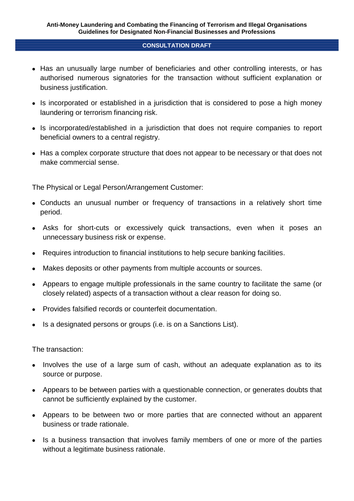- Has an unusually large number of beneficiaries and other controlling interests, or has authorised numerous signatories for the transaction without sufficient explanation or business justification.
- Is incorporated or established in a jurisdiction that is considered to pose a high money laundering or terrorism financing risk.
- Is incorporated/established in a jurisdiction that does not require companies to report beneficial owners to a central registry.
- Has a complex corporate structure that does not appear to be necessary or that does not make commercial sense.

The Physical or Legal Person/Arrangement Customer:

- Conducts an unusual number or frequency of transactions in a relatively short time period.
- Asks for short-cuts or excessively quick transactions, even when it poses an unnecessary business risk or expense.
- Requires introduction to financial institutions to help secure banking facilities.
- Makes deposits or other payments from multiple accounts or sources.
- Appears to engage multiple professionals in the same country to facilitate the same (or closely related) aspects of a transaction without a clear reason for doing so.
- Provides falsified records or counterfeit documentation.
- Is a designated persons or groups (i.e. is on a Sanctions List).

The transaction:

- Involves the use of a large sum of cash, without an adequate explanation as to its source or purpose.
- Appears to be between parties with a questionable connection, or generates doubts that cannot be sufficiently explained by the customer.
- Appears to be between two or more parties that are connected without an apparent business or trade rationale.
- Is a business transaction that involves family members of one or more of the parties without a legitimate business rationale.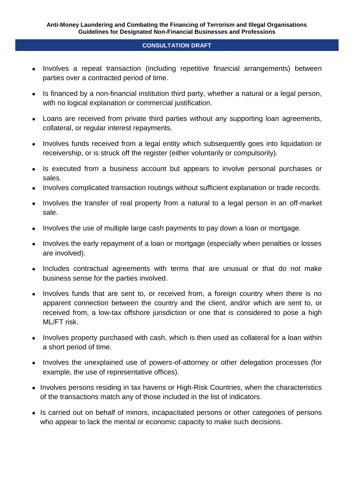- Involves a repeat transaction (including repetitive financial arrangements) between parties over a contracted period of time.
- Is financed by a non-financial institution third party, whether a natural or a legal person, with no logical explanation or commercial justification.
- Loans are received from private third parties without any supporting loan agreements, collateral, or regular interest repayments.
- Involves funds received from a legal entity which subsequently goes into liquidation or receivership, or is struck off the register (either voluntarily or compulsorily).
- Is executed from a business account but appears to involve personal purchases or sales.
- Involves complicated transaction routings without sufficient explanation or trade records.
- Involves the transfer of real property from a natural to a legal person in an off-market sale.
- Involves the use of multiple large cash payments to pay down a loan or mortgage.
- Involves the early repayment of a loan or mortgage (especially when penalties or losses are involved).
- Includes contractual agreements with terms that are unusual or that do not make business sense for the parties involved.
- Involves funds that are sent to, or received from, a foreign country when there is no apparent connection between the country and the client, and/or which are sent to, or received from, a low-tax offshore jurisdiction or one that is considered to pose a high ML/FT risk.
- Involves property purchased with cash, which is then used as collateral for a loan within a short period of time.
- Involves the unexplained use of powers-of-attorney or other delegation processes (for example, the use of representative offices).
- Involves persons residing in tax havens or High-Risk Countries, when the characteristics of the transactions match any of those included in the list of indicators.
- Is carried out on behalf of minors, incapacitated persons or other categories of persons who appear to lack the mental or economic capacity to make such decisions.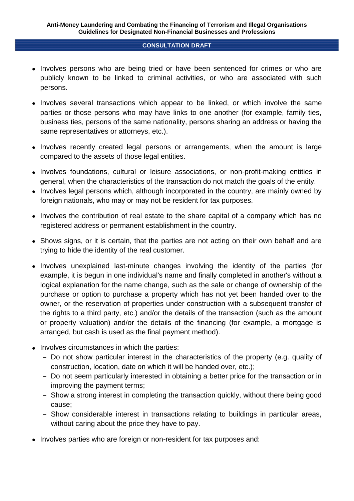- Involves persons who are being tried or have been sentenced for crimes or who are publicly known to be linked to criminal activities, or who are associated with such persons.
- Involves several transactions which appear to be linked, or which involve the same parties or those persons who may have links to one another (for example, family ties, business ties, persons of the same nationality, persons sharing an address or having the same representatives or attorneys, etc.).
- Involves recently created legal persons or arrangements, when the amount is large compared to the assets of those legal entities.
- Involves foundations, cultural or leisure associations, or non-profit-making entities in general, when the characteristics of the transaction do not match the goals of the entity.
- Involves legal persons which, although incorporated in the country, are mainly owned by foreign nationals, who may or may not be resident for tax purposes.
- Involves the contribution of real estate to the share capital of a company which has no registered address or permanent establishment in the country.
- Shows signs, or it is certain, that the parties are not acting on their own behalf and are trying to hide the identity of the real customer.
- Involves unexplained last-minute changes involving the identity of the parties (for example, it is begun in one individual's name and finally completed in another's without a logical explanation for the name change, such as the sale or change of ownership of the purchase or option to purchase a property which has not yet been handed over to the owner, or the reservation of properties under construction with a subsequent transfer of the rights to a third party, etc.) and/or the details of the transaction (such as the amount or property valuation) and/or the details of the financing (for example, a mortgage is arranged, but cash is used as the final payment method).
- Involves circumstances in which the parties:
	- ‒ Do not show particular interest in the characteristics of the property (e.g. quality of construction, location, date on which it will be handed over, etc.);
	- ‒ Do not seem particularly interested in obtaining a better price for the transaction or in improving the payment terms;
	- ‒ Show a strong interest in completing the transaction quickly, without there being good cause;
	- ‒ Show considerable interest in transactions relating to buildings in particular areas, without caring about the price they have to pay.
- Involves parties who are foreign or non-resident for tax purposes and: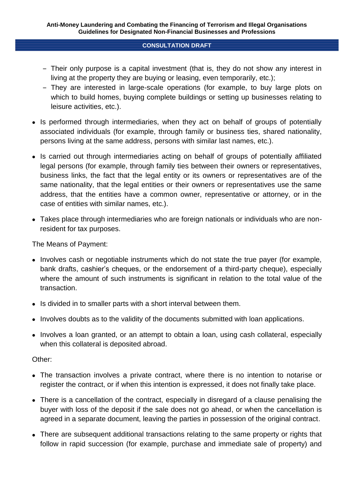- ‒ Their only purpose is a capital investment (that is, they do not show any interest in living at the property they are buying or leasing, even temporarily, etc.);
- ‒ They are interested in large-scale operations (for example, to buy large plots on which to build homes, buying complete buildings or setting up businesses relating to leisure activities, etc.).
- Is performed through intermediaries, when they act on behalf of groups of potentially associated individuals (for example, through family or business ties, shared nationality, persons living at the same address, persons with similar last names, etc.).
- Is carried out through intermediaries acting on behalf of groups of potentially affiliated legal persons (for example, through family ties between their owners or representatives, business links, the fact that the legal entity or its owners or representatives are of the same nationality, that the legal entities or their owners or representatives use the same address, that the entities have a common owner, representative or attorney, or in the case of entities with similar names, etc.).
- Takes place through intermediaries who are foreign nationals or individuals who are nonresident for tax purposes.

The Means of Payment:

- Involves cash or negotiable instruments which do not state the true payer (for example, bank drafts, cashier's cheques, or the endorsement of a third-party cheque), especially where the amount of such instruments is significant in relation to the total value of the transaction.
- Is divided in to smaller parts with a short interval between them.
- Involves doubts as to the validity of the documents submitted with loan applications.
- Involves a loan granted, or an attempt to obtain a loan, using cash collateral, especially when this collateral is deposited abroad.

## Other:

- The transaction involves a private contract, where there is no intention to notarise or register the contract, or if when this intention is expressed, it does not finally take place.
- There is a cancellation of the contract, especially in disregard of a clause penalising the buyer with loss of the deposit if the sale does not go ahead, or when the cancellation is agreed in a separate document, leaving the parties in possession of the original contract.
- There are subsequent additional transactions relating to the same property or rights that follow in rapid succession (for example, purchase and immediate sale of property) and